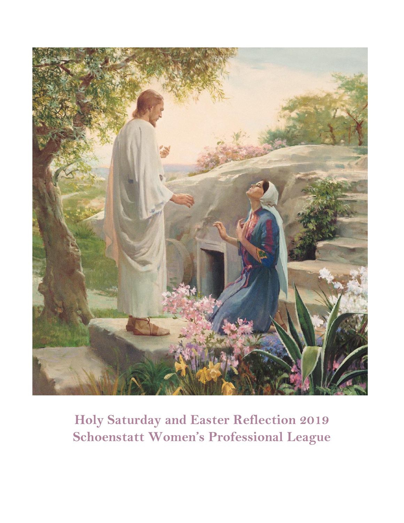

**Holy Saturday and Easter Reflection 2019 Schoenstatt Women's Professional League**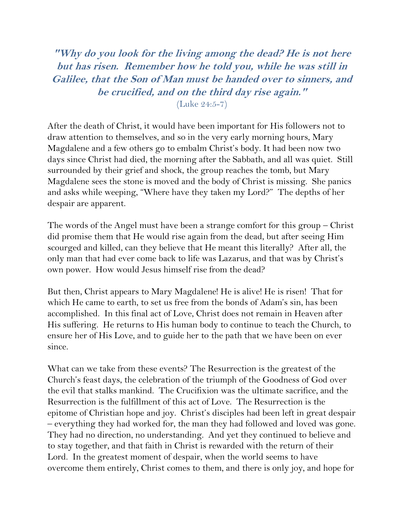**"Why do you look for the living among the dead? He is not here but has risen. Remember how he told you, while he was still in Galilee, that the Son of Man must be handed over to sinners, and be crucified, and on the third day rise again."**

(Luke 24:5-7)

After the death of Christ, it would have been important for His followers not to draw attention to themselves, and so in the very early morning hours, Mary Magdalene and a few others go to embalm Christ's body. It had been now two days since Christ had died, the morning after the Sabbath, and all was quiet. Still surrounded by their grief and shock, the group reaches the tomb, but Mary Magdalene sees the stone is moved and the body of Christ is missing. She panics and asks while weeping, "Where have they taken my Lord?" The depths of her despair are apparent.

The words of the Angel must have been a strange comfort for this group – Christ did promise them that He would rise again from the dead, but after seeing Him scourged and killed, can they believe that He meant this literally? After all, the only man that had ever come back to life was Lazarus, and that was by Christ's own power. How would Jesus himself rise from the dead?

But then, Christ appears to Mary Magdalene! He is alive! He is risen! That for which He came to earth, to set us free from the bonds of Adam's sin, has been accomplished. In this final act of Love, Christ does not remain in Heaven after His suffering. He returns to His human body to continue to teach the Church, to ensure her of His Love, and to guide her to the path that we have been on ever since.

What can we take from these events? The Resurrection is the greatest of the Church's feast days, the celebration of the triumph of the Goodness of God over the evil that stalks mankind. The Crucifixion was the ultimate sacrifice, and the Resurrection is the fulfillment of this act of Love. The Resurrection is the epitome of Christian hope and joy. Christ's disciples had been left in great despair – everything they had worked for, the man they had followed and loved was gone. They had no direction, no understanding. And yet they continued to believe and to stay together, and that faith in Christ is rewarded with the return of their Lord. In the greatest moment of despair, when the world seems to have overcome them entirely, Christ comes to them, and there is only joy, and hope for